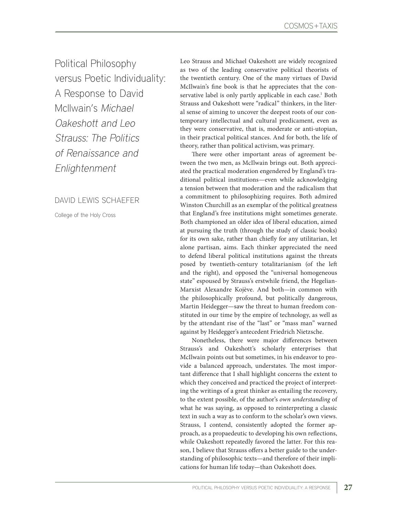Political Philosophy versus Poetic Individuality: A Response to David McIlwain's Michael Oakeshott and Leo Strauss: The Politics of Renaissance and Enlightenment

DAVID LEWIS SCHAEFER

College of the Holy Cross

Leo Strauss and Michael Oakeshott are widely recognized as two of the leading conservative political theorists of the twentieth century. One of the many virtues of David McIlwain's fine book is that he appreciates that the conservative label is only partly applicable in each case.<sup>1</sup> Both Strauss and Oakeshott were "radical" thinkers, in the literal sense of aiming to uncover the deepest roots of our contemporary intellectual and cultural predicament, even as they were conservative, that is, moderate or anti-utopian, in their practical political stances. And for both, the life of theory, rather than political activism, was primary.

There were other important areas of agreement between the two men, as McIlwain brings out. Both appreciated the practical moderation engendered by England's traditional political institutions—even while acknowledging a tension between that moderation and the radicalism that a commitment to philosophizing requires. Both admired Winston Churchill as an exemplar of the political greatness that England's free institutions might sometimes generate. Both championed an older idea of liberal education, aimed at pursuing the truth (through the study of classic books) for its own sake, rather than chiefly for any utilitarian, let alone partisan, aims. Each thinker appreciated the need to defend liberal political institutions against the threats posed by twentieth-century totalitarianism (of the left and the right), and opposed the "universal homogeneous state" espoused by Strauss's erstwhile friend, the Hegelian-Marxist Alexandre Kojève. And both—in common with the philosophically profound, but politically dangerous, Martin Heidegger—saw the threat to human freedom constituted in our time by the empire of technology, as well as by the attendant rise of the "last" or "mass man" warned against by Heidegger's antecedent Friedrich Nietzsche.

Nonetheless, there were major differences between Strauss's and Oakeshott's scholarly enterprises that McIlwain points out but sometimes, in his endeavor to provide a balanced approach, understates. The most important difference that I shall highlight concerns the extent to which they conceived and practiced the project of interpreting the writings of a great thinker as entailing the recovery, to the extent possible, of the author's *own understanding* of what he was saying, as opposed to reinterpreting a classic text in such a way as to conform to the scholar's own views. Strauss, I contend, consistently adopted the former approach, as a propaedeutic to developing his own reflections, while Oakeshott repeatedly favored the latter. For this reason, I believe that Strauss offers a better guide to the understanding of philosophic texts—and therefore of their implications for human life today—than Oakeshott does.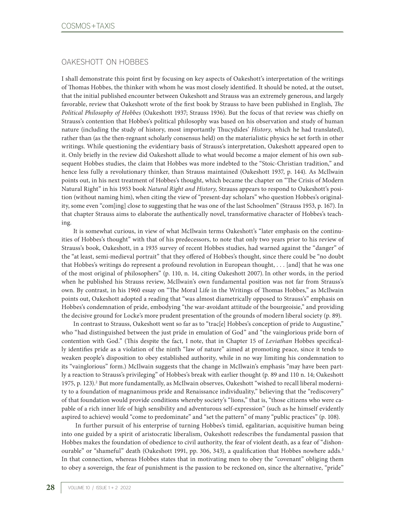# OAKESHOTT ON HOBBES

I shall demonstrate this point first by focusing on key aspects of Oakeshott's interpretation of the writings of Thomas Hobbes, the thinker with whom he was most closely identified. It should be noted, at the outset, that the initial published encounter between Oakeshott and Strauss was an extremely generous, and largely favorable, review that Oakeshott wrote of the first book by Strauss to have been published in English, *The Political Philosophy of Hobbes* (Oakeshott 1937; Strauss 1936). But the focus of that review was chiefly on Strauss's contention that Hobbes's political philosophy was based on his observation and study of human nature (including the study of history, most importantly Thucydides' *History,* which he had translated), rather than (as the then-regnant scholarly consensus held) on the materialistic physics he set forth in other writings. While questioning the evidentiary basis of Strauss's interpretation, Oakeshott appeared open to it. Only briefly in the review did Oakeshott allude to what would become a major element of his own subsequent Hobbes studies, the claim that Hobbes was more indebted to the "Stoic-Christian tradition," and hence less fully a revolutionary thinker, than Strauss maintained (Oakeshott 1937, p. 144). As McIlwain points out, in his next treatment of Hobbes's thought, which became the chapter on "The Crisis of Modern Natural Right" in his 1953 book *Natural Right and History,* Strauss appears to respond to Oakeshott's position (without naming him), when citing the view of "present-day scholars" who question Hobbes's originality, some even "com[ing] close to suggesting that he was one of the last Schoolmen" (Strauss 1953, p. 167). In that chapter Strauss aims to elaborate the authentically novel, transformative character of Hobbes's teaching.

It is somewhat curious, in view of what McIlwain terms Oakeshott's "later emphasis on the continuities of Hobbes's thought" with that of his predecessors, to note that only two years prior to his review of Strauss's book, Oakeshott, in a 1935 survey of recent Hobbes studies, had warned against the "danger" of the "at least, semi-medieval portrait" that they offered of Hobbes's thought, since there could be "no doubt that Hobbes's writings do represent a profound revolution in European thought, . . . [and] that he was one of the most original of philosophers" (p. 110, n. 14, citing Oakeshott 2007). In other words, in the period when he published his Strauss review, McIlwain's own fundamental position was not far from Strauss's own. By contrast, in his 1960 essay on "The Moral Life in the Writings of Thomas Hobbes," as McIlwain points out, Oakeshott adopted a reading that "was almost diametrically opposed to Strauss's" emphasis on Hobbes's condemnation of pride, embodying "the war-avoidant attitude of the bourgeoisie," and providing the decisive ground for Locke's more prudent presentation of the grounds of modern liberal society (p. 89).

In contrast to Strauss, Oakeshott went so far as to "trac[e] Hobbes's conception of pride to Augustine," who "had distinguished between the just pride in emulation of God" and "the vainglorious pride born of contention with God." (This despite the fact, I note, that in Chapter 15 of *Leviathan* Hobbes specifically identifies pride as a violation of the ninth "law of nature" aimed at promoting peace, since it tends to weaken people's disposition to obey established authority, while in no way limiting his condemnation to its "vainglorious" form.) McIlwain suggests that the change in McIlwain's emphasis "may have been partly a reaction to Strauss's privileging" of Hobbes's break with earlier thought (p. 89 and 110 n. 14; Oakeshott 1975, p. 123).<sup>2</sup> But more fundamentally, as McIlwain observes, Oakeshott "wished to recall liberal modernity to a foundation of magnanimous pride and Renaissance individuality," believing that the "rediscovery" of that foundation would provide conditions whereby society's "lions," that is, "those citizens who were capable of a rich inner life of high sensibility and adventurous self-expression" (such as he himself evidently aspired to achieve) would "come to predominate" and "set the pattern" of many "public practices" (p. 108).

 In further pursuit of his enterprise of turning Hobbes's timid, egalitarian, acquisitive human being into one guided by a spirit of aristocratic liberalism, Oakeshott redescribes the fundamental passion that Hobbes makes the foundation of obedience to civil authority, the fear of violent death, as a fear of "dishonourable" or "shameful" death (Oakeshott 1991, pp. 306, 343), a qualification that Hobbes nowhere adds.<sup>3</sup> In that connection, whereas Hobbes states that in motivating men to obey the "covenant" obliging them to obey a sovereign, the fear of punishment is the passion to be reckoned on, since the alternative, "pride"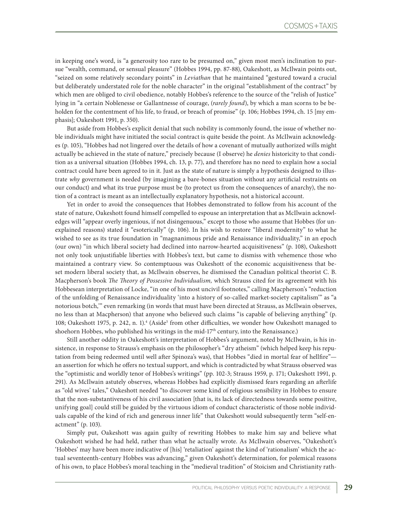in keeping one's word, is "a generosity too rare to be presumed on," given most men's inclination to pursue "wealth, command, or sensual pleasure" (Hobbes 1994, pp. 87-88), Oakeshott, as McIlwain points out, "seized on some relatively secondary points" in *Leviathan* that he maintained "gestured toward a crucial but deliberately understated role for the noble character" in the original "establishment of the contract" by which men are obliged to civil obedience, notably Hobbes's reference to the source of the "relish of Justice" lying in "a certain Noblenesse or Gallantnesse of courage, (*rarely found*), by which a man scorns to be beholden for the contentment of his life, to fraud, or breach of promise" (p. 106; Hobbes 1994, ch. 15 [my emphasis]; Oakeshott 1991, p. 350).

But aside from Hobbes's explicit denial that such nobility is commonly found, the issue of whether noble individuals might have initiated the social contract is quite beside the point. As McIlwain acknowledges (p. 105), "Hobbes had not lingered over the details of how a covenant of mutually authorized wills might actually be achieved in the state of nature," precisely because (I observe) he *denies* historicity to that condition as a universal situation (Hobbes 1994, ch. 13, p. 77), and therefore has no need to explain how a social contract could have been agreed to in it. Just as the state of nature is simply a hypothesis designed to illustrate *why* government is needed (by imagining a bare-bones situation without any artificial restraints on our conduct) and what its true purpose must be (to protect us from the consequences of anarchy), the notion of a contract is meant as an intellectually explanatory hypothesis, not a historical account.

Yet in order to avoid the consequences that Hobbes demonstrated to follow from his account of the state of nature, Oakeshott found himself compelled to espouse an interpretation that as McIlwain acknowledges will "appear overly ingenious, if not disingenuous," except to those who assume that Hobbes (for unexplained reasons) stated it "esoterically" (p. 106). In his wish to restore "liberal modernity" to what he wished to see as its true foundation in "magnanimous pride and Renaissance individuality," in an epoch (our own) "in which liberal society had declined into narrow-hearted acquisitiveness" (p. 108), Oakeshott not only took unjustifiable liberties with Hobbes's text, but came to dismiss with vehemence those who maintained a contrary view. So contemptuous was Oakeshott of the economic acquisitiveness that beset modern liberal society that, as McIlwain observes, he dismissed the Canadian political theorist C. B. Macpherson's book *The Theory of Possessive Individualism,* which Strauss cited for its agreement with his Hobbesean interpretation of Locke, "in one of his most uncivil footnotes," calling Macpherson's "reduction of the unfolding of Renaissance individuality 'into a history of so-called market-society capitalism'" as "a notorious botch,'" even remarking (in words that must have been directed at Strauss, as McIlwain observes, no less than at Macpherson) that anyone who believed such claims "is capable of believing anything" (p. 108; Oakeshott 1975, p. 242, n. 1).<sup>4</sup> (Aside<sup>5</sup> from other difficulties, we wonder how Oakeshott managed to shoehorn Hobbes, who published his writings in the mid-17<sup>th</sup> century, into the Renaissance.)

Still another oddity in Oakeshott's interpretation of Hobbes's argument, noted by McIlwain, is his insistence, in response to Strauss's emphasis on the philosopher's "dry atheism" (which helped keep his reputation from being redeemed until well after Spinoza's was), that Hobbes "died in mortal fear of hellfire" an assertion for which he offers no textual support, and which is contradicted by what Strauss observed was the "optimistic and worldly tenor of Hobbes's writings" (pp. 102-3; Strauss 1959, p. 171; Oakeshott 1991, p. 291). As McIlwain astutely observes, whereas Hobbes had explicitly dismissed fears regarding an afterlife as "old wives' tales," Oakeshott needed "to discover some kind of religious sensibility in Hobbes to ensure that the non-substantiveness of his civil association [that is, its lack of directedness towards some positive, unifying goal] could still be guided by the virtuous idiom of conduct characteristic of those noble individuals capable of the kind of rich and generous inner life" that Oakeshott would subsequently term "self-enactment" (p. 103).

Simply put, Oakeshott was again guilty of rewriting Hobbes to make him say and believe what Oakeshott wished he had held, rather than what he actually wrote. As McIlwain observes, "Oakeshott's 'Hobbes' may have been more indicative of [his] 'retaliation' against the kind of 'rationalism' which the actual seventeenth-century Hobbes was advancing," given Oakeshott's determination, for polemical reasons of his own, to place Hobbes's moral teaching in the "medieval tradition" of Stoicism and Christianity rath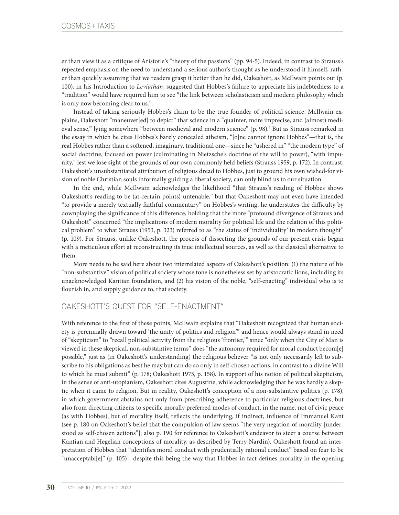er than view it as a critique of Aristotle's "theory of the passions" (pp. 94-5). Indeed, in contrast to Strauss's repeated emphasis on the need to understand a serious author's thought as he understood it himself, rather than quickly assuming that we readers grasp it better than he did, Oakeshott, as McIlwain points out (p. 100), in his Introduction to *Leviathan*, suggested that Hobbes's failure to appreciate his indebtedness to a "tradition" would have required him to see "the link between scholasticism and modern philosophy which is only now becoming clear to us."

Instead of taking seriously Hobbes's claim to be the true founder of political science, McIlwain explains, Oakeshott "maneuver[ed] to depict" that science in a "quainter, more imprecise, and (almost) medieval sense," lying somewhere "between medieval and modern science" (p. 98).<sup>6</sup> But as Strauss remarked in the essay in which he cites Hobbes's barely concealed atheism, "[o]ne cannot ignore Hobbes"—that is, the real Hobbes rather than a softened, imaginary, traditional one—since he "ushered in" "the modern type" of social doctrine, focused on power (culminating in Nietzsche's doctrine of the will to power), "with impunity," lest we lose sight of the grounds of our own commonly held beliefs (Strauss 1959, p. 172). In contrast, Oakeshott's unsubstantiated attribution of religious dread to Hobbes, just to ground his own wished-for vision of noble Christian souls informally guiding a liberal society, can only blind us to our situation.

In the end, while McIlwain acknowledges the likelihood "that Strauss's reading of Hobbes shows Oakeshott's reading to be (at certain points) untenable," but that Oakeshott may not even have intended "to provide a merely textually faithful commentary" on Hobbes's writing, he understates the difficulty by downplaying the significance of this difference, holding that the more "profound divergence of Strauss and Oakeshott" concerned "the implications of modern morality for political life and the relation of this political problem" to what Strauss (1953, p. 323) referred to as "the status of 'individuality' in modern thought" (p. 109). For Strauss, unlike Oakeshott, the process of dissecting the grounds of our present crisis began with a meticulous effort at reconstructing its true intellectual sources, as well as the classical alternative to them.

More needs to be said here about two interrelated aspects of Oakeshott's position: (1) the nature of his "non-substantive" vision of political society whose tone is nonetheless set by aristocratic lions, including its unacknowledged Kantian foundation, and (2) his vision of the noble, "self-enacting" individual who is to flourish in, and supply guidance to, that society.

# OAKESHOTT'S QUEST FOR "SELF-ENACTMENT"

With reference to the first of these points, McIlwain explains that "Oakeshott recognized that human society is perennially drawn toward 'the unity of politics and religion'" and hence would always stand in need of "skepticism" to "recall political activity from the religious 'frontier,'" since "only when the City of Man is viewed in these skeptical, non-substantive terms" does "the autonomy required for moral conduct becom[e] possible," just as (in Oakeshott's understanding) the religious believer "is not only necessarily left to subscribe to his obligations as best he may but can do so only in self-chosen actions, in contrast to a divine Will to which he must submit" (p. 178; Oakeshott 1975, p. 158). In support of his notion of political skepticism, in the sense of anti-utopianism, Oakeshott cites Augustine, while acknowledging that he was hardly a skeptic when it came to religion. But in reality, Oakeshott's conception of a non-substantive politics (p. 178), in which government abstains not only from prescribing adherence to particular religious doctrines, but also from directing citizens to specific morally preferred modes of conduct, in the name, not of civic peace (as with Hobbes), but of morality itself, reflects the underlying, if indirect, influence of Immanuel Kant (see p. 180 on Oakeshott's belief that the compulsion of law seems "the very negation of morality [understood as self-chosen actions"]; also p. 190 for reference to Oakeshott's endeavor to steer a course between Kantian and Hegelian conceptions of morality, as described by Terry Nardin). Oakeshott found an interpretation of Hobbes that "identifies moral conduct with prudentially rational conduct" based on fear to be "unacceptabl[e]" (p. 105)—despite this being the way that Hobbes in fact defines morality in the opening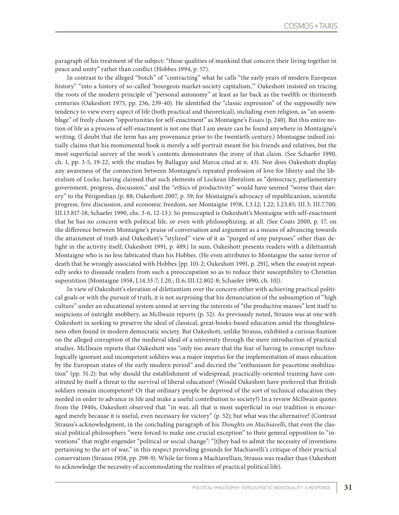paragraph of his treatment of the subject: "those qualities of mankind that concern their living together in peace and unity" rather than conflict (Hobbes 1994, p. 57).

In contrast to the alleged "botch" of "contracting" what he calls "the early years of modern European history" "into a history of so-called 'bourgeois market-society capitalism,'" Oakeshott insisted on tracing the roots of the modern principle of "personal autonomy" at least as far back as the twelfth or thirteenth centuries (Oakeshott 1975, pp. 236, 239-40). He identified the "classic expression" of the supposedly new tendency to view every aspect of life (both practical and theoretical), including even religion, as "an assemblage" of freely chosen "opportunities for self-enactment" as Montaigne's *Essais* (p. 240). But this entire notion of life as a process of self-enactment is not one that I am aware can be found anywhere in Montaigne's writing. (I doubt that the term has any provenance prior to the twentieth century.) Montaigne indeed initially claims that his monumental book is merely a self-portrait meant for his friends and relatives, but the most superficial survey of the work's contents demonstrates the irony of that claim. (See Schaefer 1990, ch. 1, pp. 3-5, 19-22, with the studies by Ballaguy and Marcu cited at n. 43). Nor does Oakeshott display any awareness of the connection between Montaigne's repeated profession of love for liberty and the liberalism of Locke, having claimed that such elements of Lockean liberalism as "democracy, parliamentary government, progress, discussion," and the "ethics of productivity" would have seemed "worse than slavery" to the Périgordian (p. 88; Oakeshott 2007, p. 59; for Montaigne's advocacy of republicanism, scientific progress, free discussion, and economic freedom, see Montaigne 1958, I.3.12; I.22; I.23.85; III.3; III.7.700; III.13.817-18; Schaefer 1990, chs. 3-6, 12-13.). So preoccupied is Oakeshott's Montaigne with self-enactment that he has no concern with political life, or even with philosophizing, at all. (See Coats 2000, p. 17, on the difference between Montaigne's praise of conversation and argument as a means of advancing towards the attainment of truth and Oakeshott's "stylized" view of it as "purged of any purposes" other than delight in the activity itself; Oakeshott 1991, p. 489.) In sum, Oakeshott presents readers with a dilettantish Montaigne who is no less fabricated than his Hobbes. (He even attributes to Montaigne the same terror of death that he wrongly associated with Hobbes [pp. 101-2; Oakeshott 1991, p. 291], when the essayist repeatedly seeks to dissuade readers from such a preoccupation so as to reduce their susceptibility to Christian superstition [Montaigne 1958, I.14.33-7; I.20.; II.6; III.12.802-8; Schaefer 1990, ch. 10]).

In view of Oakeshott's elevation of dilettantism over the concern either with achieving practical political goals or with the pursuit of truth, it is not surprising that his denunciation of the subsumption of "high culture" under an educational system aimed at serving the interests of "the productive masses" lent itself to suspicions of outright snobbery, as McIlwain reports (p. 52). As previously noted, Strauss was at one with Oakeshott in seeking to preserve the ideal of classical, great-books-based education amid the thoughtlessness often found in modern democratic society. But Oakeshott, unlike Strauss, exhibited a curious fixation on the alleged corruption of the medieval ideal of a university through the mere introduction of practical studies. McIlwain reports that Oakeshott was "only too aware that the fear of having to conscript technologically ignorant and incompetent soldiers was a major impetus for the implementation of mass education by the European states of the early modern period" and decried the "enthusiasm for peacetime mobilization" (pp. 51-2): but why should the establishment of widespread, practically-oriented training have constituted by itself a threat to the survival of liberal education? (Would Oakeshott have preferred that British soldiers remain incompetent? Or that ordinary people be deprived of the sort of technical education they needed in order to advance in life and make a useful contribution to society?) In a review McIlwain quotes from the 1940s, Oakeshott observed that "in war, all that is most superficial in our tradition is encouraged merely because it is useful, even necessary for victory" (p. 52); but what was the alternative? (Contrast Strauss's acknowledgment, in the concluding paragraph of his *Thoughts on Machiavelli*, that even the classical political philosophers "were forced to make one crucial exception" to their general opposition to "inventions" that might engender "political or social change": "[t]hey had to admit the necessity of inventions pertaining to the art of war," in this respect providing grounds for Machiavelli's critique of their practical conservatism (Strauss 1958, pp. 298-9). While far from a Machiavellian, Strauss was readier than Oakeshott to acknowledge the necessity of accommodating the realities of practical political life).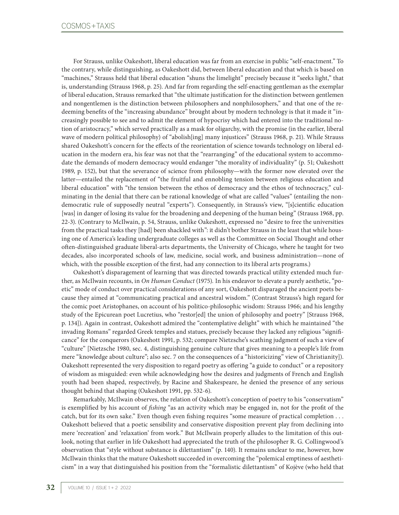For Strauss, unlike Oakeshott, liberal education was far from an exercise in public "self-enactment." To the contrary, while distinguishing, as Oakeshott did, between liberal education and that which is based on "machines," Strauss held that liberal education "shuns the limelight" precisely because it "seeks light," that is, understanding (Strauss 1968, p. 25). And far from regarding the self-enacting gentleman as the exemplar of liberal education, Strauss remarked that "the ultimate justification for the distinction between gentlemen and nongentlemen is the distinction between philosophers and nonphilosophers," and that one of the redeeming benefits of the "increasing abundance" brought about by modern technology is that it made it "increasingly possible to see and to admit the element of hypocrisy which had entered into the traditional notion of aristocracy," which served practically as a mask for oligarchy, with the promise (in the earlier, liberal wave of modern political philosophy) of "abolish[ing] many injustices" (Strauss 1968, p. 21). While Strauss shared Oakeshott's concern for the effects of the reorientation of science towards technology on liberal education in the modern era, his fear was not that the "rearranging" of the educational system to accommodate the demands of modern democracy would endanger "the morality of individuality" (p. 51; Oakeshott 1989, p. 152), but that the severance of science from philosophy—with the former now elevated over the latter—entailed the replacement of "the fruitful and ennobling tension between religious education and liberal education" with "the tension between the ethos of democracy and the ethos of technocracy," culminating in the denial that there can be rational knowledge of what are called "values" (entailing the nondemocratic rule of supposedly neutral "experts"). Consequently, in Strauss's view, "[s]cientific education [was] in danger of losing its value for the broadening and deepening of the human being" (Strauss 1968, pp. 22-3). (Contrary to McIlwain, p. 54, Strauss, unlike Oakeshott, expressed no "desire to free the universities from the practical tasks they [had] been shackled with": it didn't bother Strauss in the least that while housing one of America's leading undergraduate colleges as well as the Committee on Social Thought and other often-distinguished graduate liberal-arts departments, the University of Chicago, where he taught for two decades, also incorporated schools of law, medicine, social work, and business administration—none of which, with the possible exception of the first, had any connection to its liberal arts programs.)

Oakeshott's disparagement of learning that was directed towards practical utility extended much further, as McIlwain recounts, in *On Human Conduct* (1975)*.* In his endeavor to elevate a purely aesthetic, "poetic" mode of conduct over practical considerations of any sort, Oakeshott disparaged the ancient poets because they aimed at "communicating practical and ancestral wisdom." (Contrast Strauss's high regard for the comic poet Aristophanes, on account of his politico-philosophic wisdom: Strauss 1966; and his lengthy study of the Epicurean poet Lucretius, who "restor[ed] the union of philosophy and poetry" [Strauss 1968, p. 134]). Again in contrast, Oakeshott admired the "contemplative delight" with which he maintained "the invading Romans" regarded Greek temples and statues, precisely because they lacked any religious "significance" for the conquerors (Oakeshott 1991, p. 532; compare Nietzsche's scathing judgment of such a view of "culture" [Nietzsche 1980, sec. 4, distinguishing genuine culture that gives meaning to a people's life from mere "knowledge about culture"; also sec. 7 on the consequences of a "historicizing" view of Christianity]). Oakeshott represented the very disposition to regard poetry as offering "a guide to conduct" or a repository of wisdom as misguided: even while acknowledging how the desires and judgments of French and English youth had been shaped, respectively, by Racine and Shakespeare, he denied the presence of any serious thought behind that shaping (Oakeshott 1991, pp. 532-6).

Remarkably, McIlwain observes, the relation of Oakeshott's conception of poetry to his "conservatism" is exemplified by his account of *fishing* "as an activity which may be engaged in, not for the profit of the catch, but for its own sake." Even though even fishing requires "some measure of practical completion . . . Oakeshott believed that a poetic sensibility and conservative disposition prevent play from declining into mere 'recreation' and 'relaxation' from work." But McIlwain properly alludes to the limitation of this outlook, noting that earlier in life Oakeshott had appreciated the truth of the philosopher R. G. Collingwood's observation that "style without substance is dilettantism" (p. 140). It remains unclear to me, however, how McIlwain thinks that the mature Oakeshott succeeded in overcoming the "polemical emptiness of aestheticism" in a way that distinguished his position from the "formalistic dilettantism" of Kojève (who held that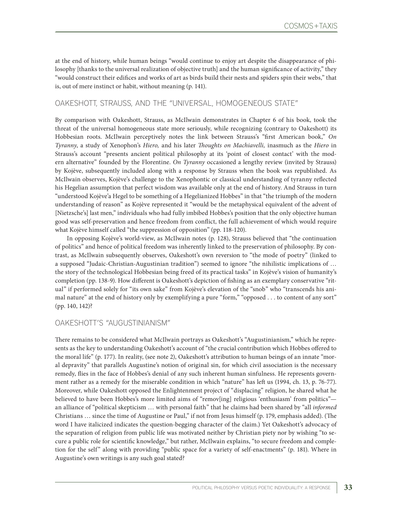at the end of history, while human beings "would continue to enjoy art despite the disappearance of philosophy [thanks to the universal realization of objective truth] and the human significance of activity," they "would construct their edifices and works of art as birds build their nests and spiders spin their webs," that is, out of mere instinct or habit, without meaning (p. 141).

### OAKESHOTT, STRAUSS, AND THE "UNIVERSAL, HOMOGENEOUS STATE"

By comparison with Oakeshott, Strauss, as McIlwain demonstrates in Chapter 6 of his book, took the threat of the universal homogeneous state more seriously, while recognizing (contrary to Oakeshott) its Hobbesian roots. McIlwain perceptively notes the link between Strauss's "first American book," *On Tyranny*, a study of Xenophon's *Hiero,* and his later *Thoughts on Machiavelli,* inasmuch as the *Hiero* in Strauss's account "presents ancient political philosophy at its 'point of closest contact' with the modern alternative" founded by the Florentine. *On Tyranny* occasioned a lengthy review (invited by Strauss) by Kojève, subsequently included along with a response by Strauss when the book was republished. As McIlwain observes, Kojève's challenge to the Xenophontic or classical understanding of tyranny reflected his Hegelian assumption that perfect wisdom was available only at the end of history. And Strauss in turn "understood Kojève'a Hegel to be something of a Hegelianized Hobbes" in that "the triumph of the modern understanding of reason" as Kojève represented it "would be the metaphysical equivalent of the advent of [Nietzsche's] last men," individuals who had fully imbibed Hobbes's position that the only objective human good was self-preservation and hence freedom from conflict, the full achievement of which would require what Kojève himself called "the suppression of opposition" (pp. 118-120).

In opposing Kojève's world-view, as McIlwain notes (p. 128), Strauss believed that "the continuation of politics" and hence of political freedom was inherently linked to the preservation of philosophy. By contrast, as McIlwain subsequently observes, Oakeshott's own reversion to "the mode of poetry" (linked to a supposed "Judaic-Christian-Augustinian tradition") seemed to ignore "the nihilistic implications of … the story of the technological Hobbesian being freed of its practical tasks" in Kojève's vision of humanity's completion (pp. 138-9). How different is Oakeshott's depiction of fishing as an exemplary conservative "ritual" if performed solely for "its own sake" from Kojève's elevation of the "snob" who "transcends his animal nature" at the end of history only by exemplifying a pure "form," "opposed . . . to content of any sort" (pp. 140, 142)?

### OAKESHOTT'S "AUGUSTINIANISM"

There remains to be considered what McIlwain portrays as Oakeshott's "Augustinianism," which he represents as the key to understanding Oakeshott's account of "the crucial contribution which Hobbes offered to the moral life" (p. 177). In reality, (see note 2), Oakeshott's attribution to human beings of an innate "moral depravity" that parallels Augustine's notion of original sin, for which civil association is the necessary remedy, flies in the face of Hobbes's denial of any such inherent human sinfulness. He represents government rather as a remedy for the miserable condition in which "nature" has left us (1994, ch. 13, p. 76-77). Moreover, while Oakeshott opposed the Enlightenment project of "displacing" religion, he shared what he believed to have been Hobbes's more limited aims of "remov[ing] religious 'enthusiasm' from politics" an alliance of "political skepticism … with personal faith" that he claims had been shared by "all *informed*  Christians … since the time of Augustine or Paul," if not from Jesus himself (p. 179, emphasis added). (The word I have italicized indicates the question-begging character of the claim.) Yet Oakeshott's advocacy of the separation of religion from public life was motivated neither by Christian piety nor by wishing "to secure a public role for scientific knowledge," but rather, McIlwain explains, "to secure freedom and completion for the self" along with providing "public space for a variety of self-enactments" (p. 181). Where in Augustine's own writings is any such goal stated?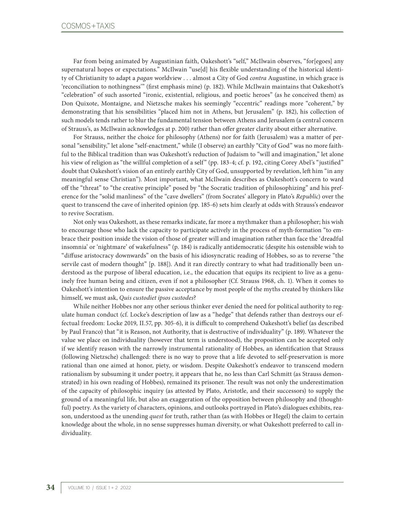Far from being animated by Augustinian faith, Oakeshott's "self," McIlwain observes, "for[egoes] any supernatural hopes or expectations." McIlwain "use[d] his flexible understanding of the historical identity of Christianity to adapt a *pagan* worldview . . . almost a City of God *contra* Augustine, in which grace is 'reconciliation to nothingness'" (first emphasis mine) (p. 182). While McIlwain maintains that Oakeshott's "celebration" of such assorted "ironic, existential, religious, and poetic heroes" (as he conceived them) as Don Quixote, Montaigne, and Nietzsche makes his seemingly "eccentric" readings more "coherent," by demonstrating that his sensibilities "placed him not in Athens, but Jerusalem" (p. 182), his collection of such models tends rather to blur the fundamental tension between Athens and Jerusalem (a central concern of Strauss's, as McIlwain acknowledges at p. 200) rather than offer greater clarity about either alternative.

For Strauss, neither the choice for philosophy (Athens) nor for faith (Jerusalem) was a matter of personal "sensibility," let alone "self-enactment," while (I observe) an earthly "City of God" was no more faithful to the Biblical tradition than was Oakeshott's reduction of Judaism to "will and imagination," let alone his view of religion as "the willful completion of a self" (pp. 183-4; cf. p. 192, citing Corey Abel's "justified" doubt that Oakeshott's vision of an entirely earthly City of God, unsupported by revelation, left him "in any meaningful sense Christian"). Most important, what McIlwain describes as Oakeshott's concern to ward off the "threat" to "the creative principle" posed by "the Socratic tradition of philosophizing" and his preference for the "solid manliness" of the "cave dwellers" (from Socrates' allegory in Plato's *Republic*) over the quest to transcend the cave of inherited opinion (pp. 185-6) sets him clearly at odds with Strauss's endeavor to revive Socratism.

Not only was Oakeshott, as these remarks indicate, far more a mythmaker than a philosopher; his wish to encourage those who lack the capacity to participate actively in the process of myth-formation "to embrace their position inside the vision of those of greater will and imagination rather than face the 'dreadful insomnia' or 'nightmare' of wakefulness" (p. 184) is radically antidemocratic (despite his ostensible wish to "diffuse aristocracy downwards" on the basis of his idiosyncratic reading of Hobbes, so as to reverse "the servile cast of modern thought" [p. 188]). And it ran directly contrary to what had traditionally been understood as the purpose of liberal education, i.e., the education that equips its recipient to live as a genuinely free human being and citizen, even if not a philosopher (Cf. Strauss 1968, ch. 1). When it comes to Oakeshott's intention to ensure the passive acceptance by most people of the myths created by thinkers like himself, we must ask, *Quis custodiet ipsos custodes*?

While neither Hobbes nor any other serious thinker ever denied the need for political authority to regulate human conduct (cf. Locke's description of law as a "hedge" that defends rather than destroys our effectual freedom: Locke 2019, II.57, pp. 305-6), it is difficult to comprehend Oakeshott's belief (as described by Paul Franco) that "it is Reason, not Authority, that is destructive of individuality" (p. 189). Whatever the value we place on individuality (however that term is understood), the proposition can be accepted only if we identify reason with the narrowly instrumental rationality of Hobbes, an identification that Strauss (following Nietzsche) challenged: there is no way to prove that a life devoted to self-preservation is more rational than one aimed at honor, piety, or wisdom. Despite Oakeshott's endeavor to transcend modern rationalism by subsuming it under poetry, it appears that he, no less than Carl Schmitt (as Strauss demonstrated) in his own reading of Hobbes), remained its prisoner. The result was not only the underestimation of the capacity of philosophic inquiry (as attested by Plato, Aristotle, and their successors) to supply the ground of a meaningful life, but also an exaggeration of the opposition between philosophy and (thoughtful) poetry. As the variety of characters, opinions, and outlooks portrayed in Plato's dialogues exhibits, reason, understood as the unending *quest* for truth, rather than (as with Hobbes or Hegel) the claim to certain knowledge about the whole, in no sense suppresses human diversity, or what Oakeshott preferred to call individuality.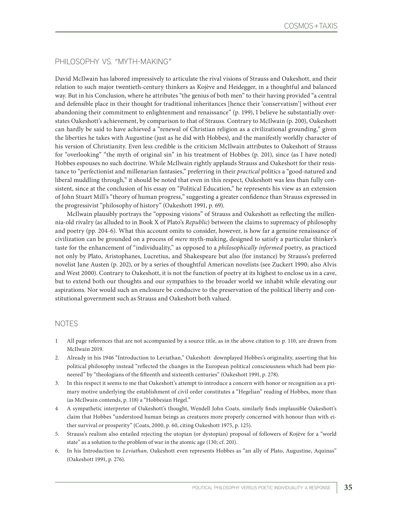# PHILOSOPHY VS. "MYTH-MAKING"

David McIlwain has labored impressively to articulate the rival visions of Strauss and Oakeshott, and their relation to such major twentieth-century thinkers as Kojève and Heidegger, in a thoughtful and balanced way. But in his Conclusion, where he attributes "the genius of both men" to their having provided "a central and defensible place in their thought for traditional inheritances [hence their 'conservatism'] without ever abandoning their commitment to enlightenment and renaissance" (p. 199), I believe he substantially overstates Oakeshott's achievement, by comparison to that of Strauss. Contrary to McIlwain (p. 200), Oakeshott can hardly be said to have achieved a "renewal of Christian religion as a civilizational grounding," given the liberties he takes with Augustine (just as he did with Hobbes), and the manifestly worldly character of his version of Christianity. Even less credible is the criticism McIlwain attributes to Oakeshott of Strauss for "overlooking" "the myth of original sin" in his treatment of Hobbes (p. 201), since (as I have noted) Hobbes espouses no such doctrine. While McIlwain rightly applauds Strauss and Oakeshott for their resistance to "perfectionist and millenarian fantasies," preferring in their *practical* politics a "good-natured and liberal muddling through," it should be noted that even in this respect, Oakeshott was less than fully consistent, since at the conclusion of his essay on "Political Education," he represents his view as an extension of John Stuart Mill's "theory of human progress," suggesting a greater confidence than Strauss expressed in the progressivist "philosophy of history" (Oakeshott 1991, p. 69).

McIlwain plausibly portrays the "opposing visions" of Strauss and Oakeshott as reflecting the millennia-old rivalry (as alluded to in Book X of Plato's *Republic*) between the claims to supremacy of philosophy and poetry (pp. 204-6). What this account omits to consider, however, is how far a genuine renaissance of civilization can be grounded on a process of *mere* myth-making, designed to satisfy a particular thinker's taste for the enhancement of "individuality," as opposed to a *philosophically informed* poetry, as practiced not only by Plato, Aristophanes, Lucretius, and Shakespeare but also (for instance) by Strauss's preferred novelist Jane Austen (p. 202), or by a series of thoughtful American novelists (see Zuckert 1990; also Alvis and West 2000). Contrary to Oakeshott, it is not the function of poetry at its highest to enclose us in a cave, but to extend both our thoughts and our sympathies to the broader world we inhabit while elevating our aspirations. Nor would such an enclosure be conducive to the preservation of the political liberty and constitutional government such as Strauss and Oakeshott both valued.

### NOTES

- 1 All page references that are not accompanied by a source title, as in the above citation to p. 110, are drawn from McIlwain 2019.
- 2. Already in his 1946 "Introduction to Leviathan," Oakeshott downplayed Hobbes's originality, asserting that his political philosophy instead "reflected the changes in the European political consciousness which had been pioneered" by "theologians of the fifteenth and sixteenth centuries" (Oakeshott 1991, p. 278).
- 3. In this respect it seems to me that Oakeshott's attempt to introduce a concern with honor or recognition as a primary motive underlying the establishment of civil order constitutes a "Hegelian" reading of Hobbes, more than (as McIlwain contends, p. 118) a "Hobbesian Hegel."
- 4 A sympathetic interpreter of Oakeshott's thought, Wendell John Coats, similarly finds implausible Oakeshott's claim that Hobbes "understood human beings as creatures more properly concerned with honour than with either survival or prosperity" (Coats, 2000, p. 60, citing Oakeshott 1975, p. 125).
- 5. Strauss's realism also entailed rejecting the utopian (or dystopian) proposal of followers of Kojève for a "world state" as a solution to the problem of war in the atomic age (130; cf. 201).
- 6. In his Introduction to *Leviathan,* Oakeshott even represents Hobbes as "an ally of Plato, Augustine, Aquinas" (Oakeshott 1991, p. 276).